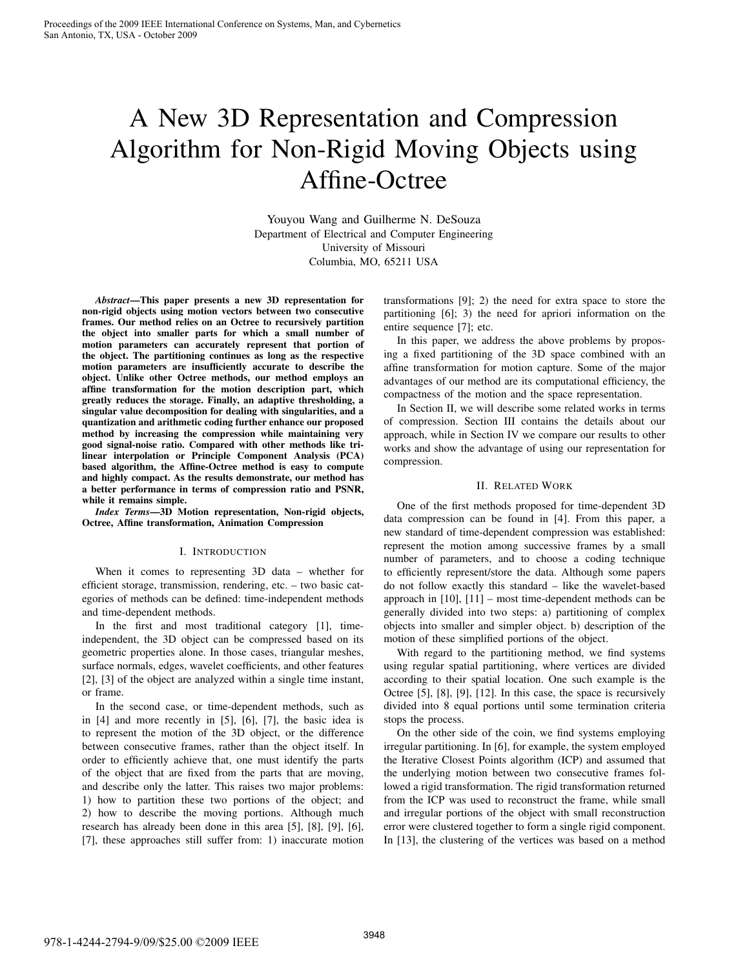# A New 3D Representation and Compression Algorithm for Non-Rigid Moving Objects using Affine-Octree

Youyou Wang and Guilherme N. DeSouza Department of Electrical and Computer Engineering University of Missouri Columbia, MO, 65211 USA

*Abstract*—This paper presents a new 3D representation for non-rigid objects using motion vectors between two consecutive frames. Our method relies on an Octree to recursively partition the object into smaller parts for which a small number of motion parameters can accurately represent that portion of the object. The partitioning continues as long as the respective motion parameters are insufficiently accurate to describe the object. Unlike other Octree methods, our method employs an affine transformation for the motion description part, which greatly reduces the storage. Finally, an adaptive thresholding, a singular value decomposition for dealing with singularities, and a quantization and arithmetic coding further enhance our proposed method by increasing the compression while maintaining very good signal-noise ratio. Compared with other methods like trilinear interpolation or Principle Component Analysis (PCA) based algorithm, the Affine-Octree method is easy to compute and highly compact. As the results demonstrate, our method has a better performance in terms of compression ratio and PSNR, while it remains simple.

*Index Terms*—3D Motion representation, Non-rigid objects, Octree, Affine transformation, Animation Compression

# I. INTRODUCTION

When it comes to representing 3D data – whether for efficient storage, transmission, rendering, etc. – two basic categories of methods can be defined: time-independent methods and time-dependent methods.

In the first and most traditional category [1], timeindependent, the 3D object can be compressed based on its geometric properties alone. In those cases, triangular meshes, surface normals, edges, wavelet coefficients, and other features [2], [3] of the object are analyzed within a single time instant, or frame.

In the second case, or time-dependent methods, such as in [4] and more recently in [5], [6], [7], the basic idea is to represent the motion of the 3D object, or the difference between consecutive frames, rather than the object itself. In order to efficiently achieve that, one must identify the parts of the object that are fixed from the parts that are moving, and describe only the latter. This raises two major problems: 1) how to partition these two portions of the object; and 2) how to describe the moving portions. Although much research has already been done in this area [5], [8], [9], [6], [7], these approaches still suffer from: 1) inaccurate motion

transformations [9]; 2) the need for extra space to store the partitioning [6]; 3) the need for apriori information on the entire sequence [7]; etc.

In this paper, we address the above problems by proposing a fixed partitioning of the 3D space combined with an affine transformation for motion capture. Some of the major advantages of our method are its computational efficiency, the compactness of the motion and the space representation.

In Section II, we will describe some related works in terms of compression. Section III contains the details about our approach, while in Section IV we compare our results to other works and show the advantage of using our representation for compression.

## II. RELATED WORK

One of the first methods proposed for time-dependent 3D data compression can be found in [4]. From this paper, a new standard of time-dependent compression was established: represent the motion among successive frames by a small number of parameters, and to choose a coding technique to efficiently represent/store the data. Although some papers do not follow exactly this standard – like the wavelet-based approach in [10], [11] – most time-dependent methods can be generally divided into two steps: a) partitioning of complex objects into smaller and simpler object. b) description of the motion of these simplified portions of the object.

With regard to the partitioning method, we find systems using regular spatial partitioning, where vertices are divided according to their spatial location. One such example is the Octree [5], [8], [9], [12]. In this case, the space is recursively divided into 8 equal portions until some termination criteria stops the process.

On the other side of the coin, we find systems employing irregular partitioning. In [6], for example, the system employed the Iterative Closest Points algorithm (ICP) and assumed that the underlying motion between two consecutive frames followed a rigid transformation. The rigid transformation returned from the ICP was used to reconstruct the frame, while small and irregular portions of the object with small reconstruction error were clustered together to form a single rigid component. In [13], the clustering of the vertices was based on a method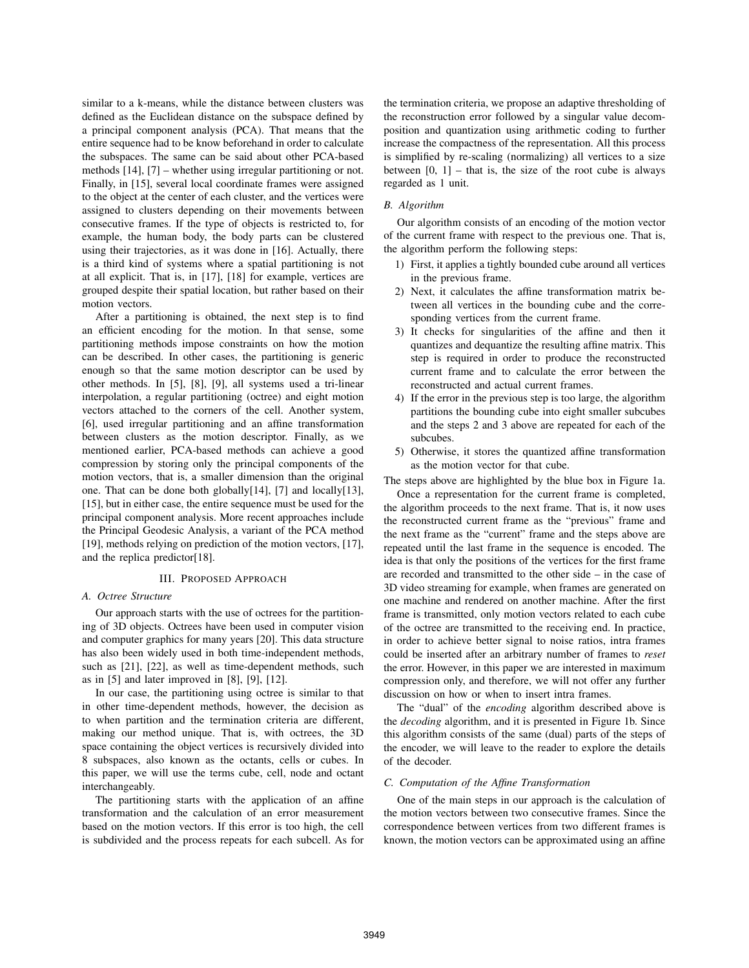similar to a k-means, while the distance between clusters was defined as the Euclidean distance on the subspace defined by a principal component analysis (PCA). That means that the entire sequence had to be know beforehand in order to calculate the subspaces. The same can be said about other PCA-based methods [14], [7] – whether using irregular partitioning or not. Finally, in [15], several local coordinate frames were assigned to the object at the center of each cluster, and the vertices were assigned to clusters depending on their movements between consecutive frames. If the type of objects is restricted to, for example, the human body, the body parts can be clustered using their trajectories, as it was done in [16]. Actually, there is a third kind of systems where a spatial partitioning is not at all explicit. That is, in [17], [18] for example, vertices are grouped despite their spatial location, but rather based on their motion vectors.

After a partitioning is obtained, the next step is to find an efficient encoding for the motion. In that sense, some partitioning methods impose constraints on how the motion can be described. In other cases, the partitioning is generic enough so that the same motion descriptor can be used by other methods. In [5], [8], [9], all systems used a tri-linear interpolation, a regular partitioning (octree) and eight motion vectors attached to the corners of the cell. Another system, [6], used irregular partitioning and an affine transformation between clusters as the motion descriptor. Finally, as we mentioned earlier, PCA-based methods can achieve a good compression by storing only the principal components of the motion vectors, that is, a smaller dimension than the original one. That can be done both globally[14], [7] and locally[13], [15], but in either case, the entire sequence must be used for the principal component analysis. More recent approaches include the Principal Geodesic Analysis, a variant of the PCA method [19], methods relying on prediction of the motion vectors, [17], and the replica predictor[18].

# III. PROPOSED APPROACH

### *A. Octree Structure*

Our approach starts with the use of octrees for the partitioning of 3D objects. Octrees have been used in computer vision and computer graphics for many years [20]. This data structure has also been widely used in both time-independent methods, such as [21], [22], as well as time-dependent methods, such as in [5] and later improved in [8], [9], [12].

In our case, the partitioning using octree is similar to that in other time-dependent methods, however, the decision as to when partition and the termination criteria are different, making our method unique. That is, with octrees, the 3D space containing the object vertices is recursively divided into 8 subspaces, also known as the octants, cells or cubes. In this paper, we will use the terms cube, cell, node and octant interchangeably.

The partitioning starts with the application of an affine transformation and the calculation of an error measurement based on the motion vectors. If this error is too high, the cell is subdivided and the process repeats for each subcell. As for the termination criteria, we propose an adaptive thresholding of the reconstruction error followed by a singular value decomposition and quantization using arithmetic coding to further increase the compactness of the representation. All this process is simplified by re-scaling (normalizing) all vertices to a size between  $[0, 1]$  – that is, the size of the root cube is always regarded as 1 unit.

## *B. Algorithm*

Our algorithm consists of an encoding of the motion vector of the current frame with respect to the previous one. That is, the algorithm perform the following steps:

- 1) First, it applies a tightly bounded cube around all vertices in the previous frame.
- 2) Next, it calculates the affine transformation matrix between all vertices in the bounding cube and the corresponding vertices from the current frame.
- 3) It checks for singularities of the affine and then it quantizes and dequantize the resulting affine matrix. This step is required in order to produce the reconstructed current frame and to calculate the error between the reconstructed and actual current frames.
- 4) If the error in the previous step is too large, the algorithm partitions the bounding cube into eight smaller subcubes and the steps 2 and 3 above are repeated for each of the subcubes.
- 5) Otherwise, it stores the quantized affine transformation as the motion vector for that cube.

The steps above are highlighted by the blue box in Figure 1a.

Once a representation for the current frame is completed, the algorithm proceeds to the next frame. That is, it now uses the reconstructed current frame as the "previous" frame and the next frame as the "current" frame and the steps above are repeated until the last frame in the sequence is encoded. The idea is that only the positions of the vertices for the first frame are recorded and transmitted to the other side – in the case of 3D video streaming for example, when frames are generated on one machine and rendered on another machine. After the first frame is transmitted, only motion vectors related to each cube of the octree are transmitted to the receiving end. In practice, in order to achieve better signal to noise ratios, intra frames could be inserted after an arbitrary number of frames to *reset* the error. However, in this paper we are interested in maximum compression only, and therefore, we will not offer any further discussion on how or when to insert intra frames.

The "dual" of the *encoding* algorithm described above is the *decoding* algorithm, and it is presented in Figure 1b. Since this algorithm consists of the same (dual) parts of the steps of the encoder, we will leave to the reader to explore the details of the decoder.

#### *C. Computation of the Affine Transformation*

One of the main steps in our approach is the calculation of the motion vectors between two consecutive frames. Since the correspondence between vertices from two different frames is known, the motion vectors can be approximated using an affine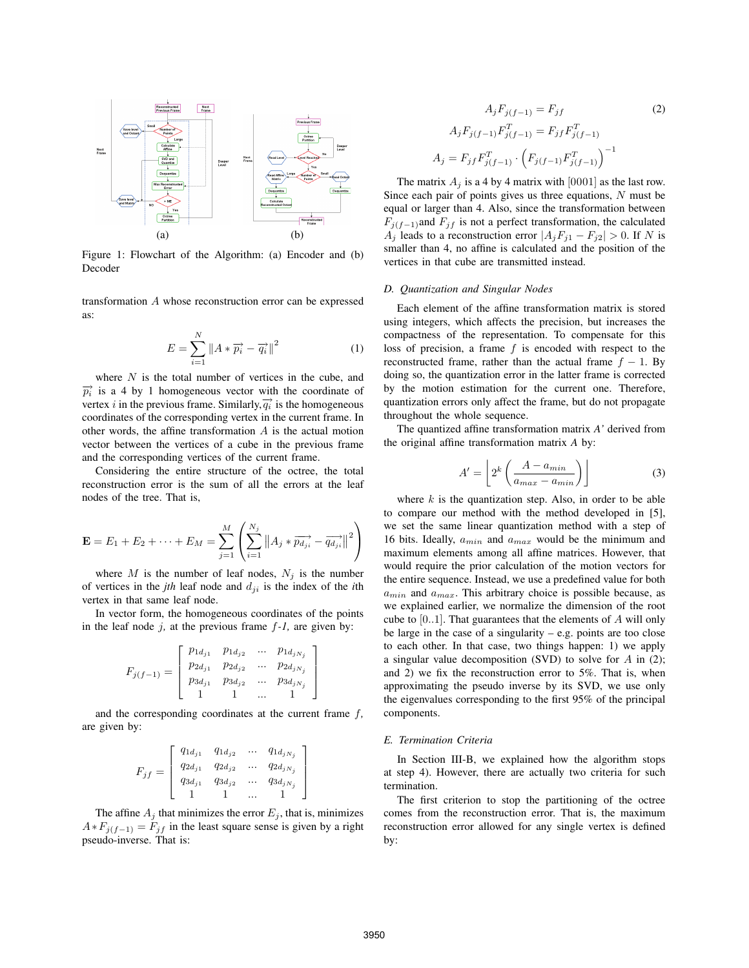

Figure 1: Flowchart of the Algorithm: (a) Encoder and (b) Decoder

transformation A whose reconstruction error can be expressed as:

$$
E = \sum_{i=1}^{N} \|A * \overrightarrow{p_i} - \overrightarrow{q_i}\|^2
$$
 (1)

where  $N$  is the total number of vertices in the cube, and  $\overrightarrow{p_i}$  is a 4 by 1 homogeneous vector with the coordinate of vertex *i* in the previous frame. Similarly, $\overrightarrow{q_i}$  is the homogeneous coordinates of the corresponding vertex in the current frame. In other words, the affine transformation  $A$  is the actual motion vector between the vertices of a cube in the previous frame and the corresponding vertices of the current frame.

Considering the entire structure of the octree, the total reconstruction error is the sum of all the errors at the leaf nodes of the tree. That is,

$$
\mathbf{E} = E_1 + E_2 + \dots + E_M = \sum_{j=1}^{M} \left( \sum_{i=1}^{N_j} ||A_j * \overrightarrow{pa_{ji}} - \overrightarrow{qa_{ji}}||^2 \right)
$$

where M is the number of leaf nodes,  $N_i$  is the number of vertices in the *jth* leaf node and  $d_{ji}$  is the index of the *i*th vertex in that same leaf node.

In vector form, the homogeneous coordinates of the points in the leaf node  $j$ , at the previous frame  $f - 1$ , are given by:

$$
F_{j(f-1)} = \left[ \begin{array}{cccc} p_{1d_{j1}} & p_{1d_{j2}} & \ldots & p_{1d_{jN_j}} \\ p_{2d_{j1}} & p_{2d_{j2}} & \ldots & p_{2d_{jN_j}} \\ p_{3d_{j1}} & p_{3d_{j2}} & \ldots & p_{3d_{jN_j}} \\ 1 & 1 & \ldots & 1 \end{array} \right]
$$

and the corresponding coordinates at the current frame f*,* are given by:

$$
F_{jf}=\left[\begin{array}{cccc}q_{1d_{j1}} & q_{1d_{j2}} & \ldots & q_{1d_{jN_j}}\\ q_{2d_{j1}} & q_{2d_{j2}} & \ldots & q_{2d_{jN_j}}\\ q_{3d_{j1}} & q_{3d_{j2}} & \ldots & q_{3d_{jN_j}}\\ 1 & 1 & \ldots & 1\end{array}\right]
$$

The affine  $A_j$  that minimizes the error  $E_j$ , that is, minimizes  $A * F_{j(f-1)} = F_{jf}$  in the least square sense is given by a right pseudo-inverse. That is:

$$
A_j F_{j(f-1)} = F_{jf}
$$
\n
$$
A_j F_{j(f-1)} F_{j(f-1)}^T = F_{jf} F_{j(f-1)}^T
$$
\n
$$
A_j = F_{jf} F_{j(f-1)}^T \cdot \left( F_{j(f-1)} F_{j(f-1)}^T \right)^{-1}
$$
\n
$$
(2)
$$

The matrix  $A_i$  is a 4 by 4 matrix with [0001] as the last row. Since each pair of points gives us three equations,  $N$  must be equal or larger than 4. Also, since the transformation between  $F_{j(f-1)}$ and  $F_{jf}$  is not a perfect transformation, the calculated  $A_j$  leads to a reconstruction error  $|A_jF_{j1} - F_{j2}| > 0$ . If N is smaller than 4, no affine is calculated and the position of the vertices in that cube are transmitted instead.

# *D. Quantization and Singular Nodes*

Each element of the affine transformation matrix is stored using integers, which affects the precision, but increases the compactness of the representation. To compensate for this loss of precision, a frame  $f$  is encoded with respect to the reconstructed frame, rather than the actual frame  $f - 1$ . By doing so, the quantization error in the latter frame is corrected by the motion estimation for the current one. Therefore, quantization errors only affect the frame, but do not propagate throughout the whole sequence.

The quantized affine transformation matrix *A'* derived from the original affine transformation matrix *A* by:

$$
A' = \left[ 2^k \left( \frac{A - a_{min}}{a_{max} - a_{min}} \right) \right]
$$
 (3)

where  $k$  is the quantization step. Also, in order to be able to compare our method with the method developed in [5], we set the same linear quantization method with a step of 16 bits. Ideally,  $a_{min}$  and  $a_{max}$  would be the minimum and maximum elements among all affine matrices. However, that would require the prior calculation of the motion vectors for the entire sequence. Instead, we use a predefined value for both  $a_{min}$  and  $a_{max}$ . This arbitrary choice is possible because, as we explained earlier, we normalize the dimension of the root cube to  $[0..1]$ . That guarantees that the elements of A will only be large in the case of a singularity – e.g. points are too close to each other. In that case, two things happen: 1) we apply a singular value decomposition (SVD) to solve for  $A$  in (2); and 2) we fix the reconstruction error to 5%. That is, when approximating the pseudo inverse by its SVD, we use only the eigenvalues corresponding to the first 95% of the principal components.

## *E. Termination Criteria*

In Section III-B, we explained how the algorithm stops at step 4). However, there are actually two criteria for such termination.

The first criterion to stop the partitioning of the octree comes from the reconstruction error. That is, the maximum reconstruction error allowed for any single vertex is defined by: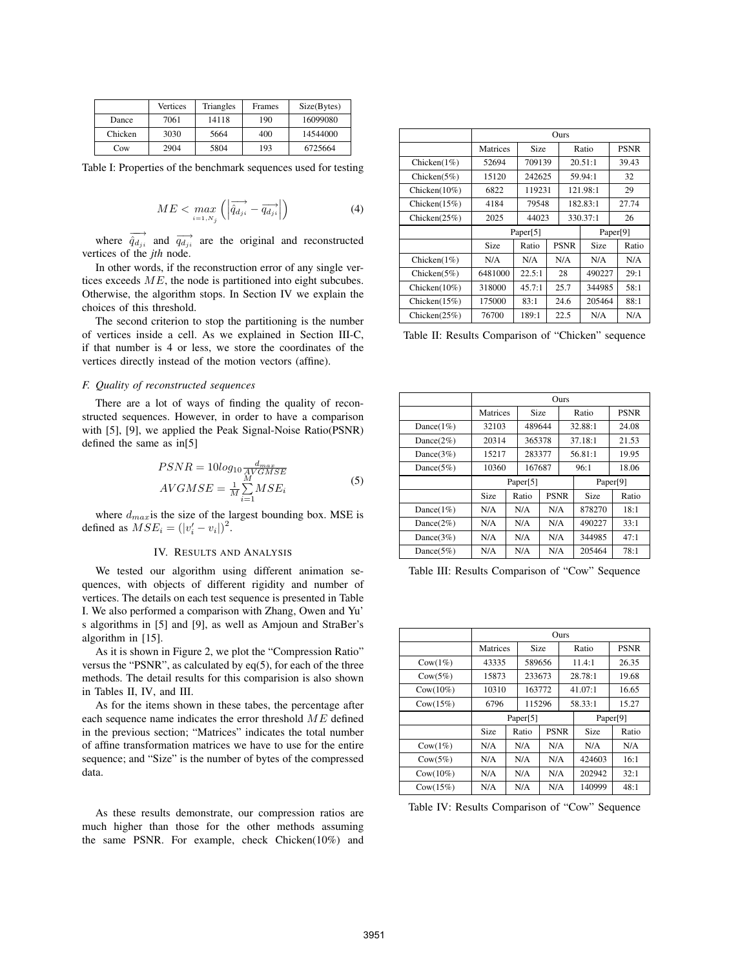|         | Vertices | Triangles | Frames | Size(Bytes) |
|---------|----------|-----------|--------|-------------|
| Dance   | 7061     | 14118     | 190    | 16099080    |
| Chicken | 3030     | 5664      | 400    | 14544000    |
| Cow     | 2904     | 5804      | 193    | 6725664     |

Table I: Properties of the benchmark sequences used for testing

$$
ME < \max_{i=1, N_j} \left( \left| \overrightarrow{\hat{q}_{d_{ji}}} - \overrightarrow{q_{d_{ji}}} \right| \right) \tag{4}
$$

where  $\overrightarrow{q_d}_{ji}$  and  $\overrightarrow{q_d}_{ji}$  are the original and reconstructed vertices of the *jth* node.

In other words, if the reconstruction error of any single vertices exceeds  $ME$ , the node is partitioned into eight subcubes. Otherwise, the algorithm stops. In Section IV we explain the choices of this threshold.

The second criterion to stop the partitioning is the number of vertices inside a cell. As we explained in Section III-C, if that number is 4 or less, we store the coordinates of the vertices directly instead of the motion vectors (affine).

### *F. Quality of reconstructed sequences*

There are a lot of ways of finding the quality of reconstructed sequences. However, in order to have a comparison with [5], [9], we applied the Peak Signal-Noise Ratio(PSNR) defined the same as in[5]

$$
PSNR = 10\log_{10} \frac{d_{max}}{M'GMSE}
$$
  
AVGMSE =  $\frac{1}{M} \sum_{i=1}^{M} MSE_i$  (5)

where  $d_{max}$  is the size of the largest bounding box. MSE is defined as  $MSE_i = (|v'_i - v_i|)^2$ .

# IV. RESULTS AND ANALYSIS

We tested our algorithm using different animation sequences, with objects of different rigidity and number of vertices. The details on each test sequence is presented in Table I. We also performed a comparison with Zhang, Owen and Yu' s algorithms in [5] and [9], as well as Amjoun and StraBer's algorithm in [15].

As it is shown in Figure 2, we plot the "Compression Ratio" versus the "PSNR", as calculated by eq(5), for each of the three methods. The detail results for this comparision is also shown in Tables II, IV, and III.

As for the items shown in these tabes, the percentage after each sequence name indicates the error threshold  $ME$  defined in the previous section; "Matrices" indicates the total number of affine transformation matrices we have to use for the entire sequence; and "Size" is the number of bytes of the compressed data.

As these results demonstrate, our compression ratios are much higher than those for the other methods assuming the same PSNR. For example, check Chicken(10%) and

|                  | Ours     |        |             |          |          |             |       |
|------------------|----------|--------|-------------|----------|----------|-------------|-------|
|                  | Matrices | Size   |             | Ratio    |          | <b>PSNR</b> |       |
| Chicken $(1%)$   | 52694    | 709139 |             |          | 20.51:1  |             | 39.43 |
| Chicken $(5%)$   | 15120    | 242625 |             | 59.94:1  |          |             | 32    |
| Chicken $(10\%)$ | 6822     | 119231 |             | 121.98:1 |          |             | 29    |
| Chicken $(15%)$  | 4184     |        | 79548       |          | 182.83:1 |             | 27.74 |
| Chicken $(25%)$  | 2025     |        | 44023       |          | 330.37:1 |             | 26    |
|                  | Paper[5] |        |             |          | Paper[9] |             |       |
|                  | Size     | Ratio  | <b>PSNR</b> |          | Size     |             | Ratio |
| Chicken $(1%)$   | N/A      | N/A    |             | N/A      | N/A      |             | N/A   |
| Chicken $(5%)$   | 6481000  | 22.5:1 | 28          |          | 490227   |             | 29:1  |
| Chicken $(10\%)$ | 318000   | 45.7:1 | 25.7        |          | 344985   |             | 58:1  |
| Chicken $(15%)$  | 175000   | 83:1   |             | 24.6     | 205464   |             | 88:1  |
| Chicken $(25%)$  | 76700    | 189:1  |             | 22.5     | N/A      |             | N/A   |

Table II: Results Comparison of "Chicken" sequence

|               | Ours     |          |            |     |                     |         |             |
|---------------|----------|----------|------------|-----|---------------------|---------|-------------|
|               | Matrices |          | Size       |     | Ratio               |         | <b>PSNR</b> |
| Dance $(1\%)$ | 32103    |          | 489644     |     |                     | 32.88:1 | 24.08       |
| Dance $(2\%)$ | 20314    |          | 365378     |     | 37.18:1             |         | 21.53       |
| Dance $(3\%)$ | 15217    |          | 283377     |     |                     | 56.81:1 | 19.95       |
| Dance $(5\%)$ | 10360    |          | 167687     |     |                     | 96:1    | 18.06       |
|               |          | Paper[5] |            |     |                     |         | Paper[9]    |
|               | Size     |          | Ratio      |     | <b>PSNR</b><br>Size |         | Ratio       |
| Dance $(1\%)$ | N/A      |          | N/A        | N/A |                     | 878270  | 18:1        |
| Dance $(2\%)$ | N/A      |          | N/A        | N/A |                     | 490227  | 33:1        |
| Dance $(3\%)$ | N/A      |          | N/A<br>N/A |     |                     | 344985  | 47:1        |
| Dance $(5\%)$ | N/A      |          | N/A        | N/A |                     | 205464  | 78:1        |

Table III: Results Comparison of "Cow" Sequence

|                    | Ours             |  |        |             |         |             |       |
|--------------------|------------------|--|--------|-------------|---------|-------------|-------|
|                    | Matrices<br>Size |  |        | Ratio       |         | <b>PSNR</b> |       |
| $\text{Cow}(1\%)$  | 43335            |  | 589656 |             |         | 11.4:1      | 26.35 |
| $\text{Cow}(5\%)$  | 15873            |  | 233673 |             | 28.78:1 |             | 19.68 |
| $Cow(10\%)$        | 10310            |  | 163772 |             |         | 41.07:1     | 16.65 |
| Cow(15%)           | 6796             |  |        | 115296      |         | 58.33:1     | 15.27 |
|                    | Paper[5]         |  |        | Paper[9]    |         |             |       |
|                    | <b>Size</b>      |  | Ratio  | <b>PSNR</b> |         | Size        | Ratio |
| $\text{Cow}(1\%)$  | N/A              |  | N/A    | N/A         | N/A     |             | N/A   |
| $\text{Cow}(5\%)$  | N/A              |  | N/A    | N/A         |         | 424603      | 16:1  |
| $\text{Cow}(10\%)$ | N/A              |  | N/A    | N/A         |         | 202942      | 32:1  |
| $\text{Cow}(15\%)$ | N/A              |  | N/A    | N/A         |         | 140999      | 48:1  |

Table IV: Results Comparison of "Cow" Sequence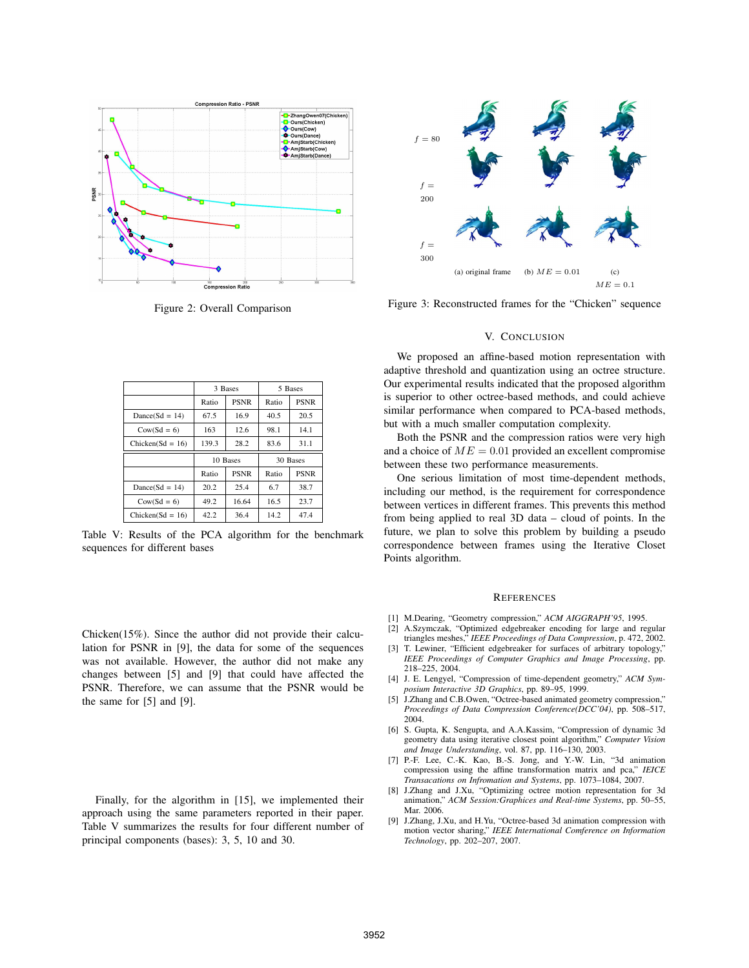

Figure 2: Overall Comparison

|                    |                      | 3 Bases     | 5 Bases |             |  |
|--------------------|----------------------|-------------|---------|-------------|--|
|                    | Ratio                | <b>PSNR</b> | Ratio   | <b>PSNR</b> |  |
| $Dance(Sd = 14)$   | 67.5                 | 16.9        | 40.5    | 20.5        |  |
| $Cow(Sd = 6)$      | 163                  | 12.6        | 98.1    | 14.1        |  |
| $Chicken(Sd = 16)$ | 139.3                | 28.2        | 83.6    | 31.1        |  |
|                    | 10 Bases             |             |         | 30 Bases    |  |
|                    | <b>PSNR</b><br>Ratio |             | Ratio   | <b>PSNR</b> |  |
| $Dance(Sd = 14)$   | 20.2                 | 25.4        | 6.7     | 38.7        |  |
| $Cow(Sd = 6)$      | 49.2                 | 16.64       | 16.5    | 23.7        |  |
| $Chicken(Sd = 16)$ | 42.2                 | 36.4        | 14.2    | 47.4        |  |

Table V: Results of the PCA algorithm for the benchmark sequences for different bases

Chicken(15%). Since the author did not provide their calculation for PSNR in [9], the data for some of the sequences was not available. However, the author did not make any changes between [5] and [9] that could have affected the PSNR. Therefore, we can assume that the PSNR would be the same for [5] and [9].

Finally, for the algorithm in [15], we implemented their approach using the same parameters reported in their paper. Table V summarizes the results for four different number of principal components (bases): 3, 5, 10 and 30.



Figure 3: Reconstructed frames for the "Chicken" sequence

# V. CONCLUSION

We proposed an affine-based motion representation with adaptive threshold and quantization using an octree structure. Our experimental results indicated that the proposed algorithm is superior to other octree-based methods, and could achieve similar performance when compared to PCA-based methods, but with a much smaller computation complexity.

Both the PSNR and the compression ratios were very high and a choice of  $ME = 0.01$  provided an excellent compromise between these two performance measurements.

One serious limitation of most time-dependent methods, including our method, is the requirement for correspondence between vertices in different frames. This prevents this method from being applied to real 3D data – cloud of points. In the future, we plan to solve this problem by building a pseudo correspondence between frames using the Iterative Closet Points algorithm.

### **REFERENCES**

- [1] M.Dearing, "Geometry compression," *ACM AIGGRAPH'95*, 1995.
- [2] A.Szymczak, "Optimized edgebreaker encoding for large and regular triangles meshes," *IEEE Proceedings of Data Compression*, p. 472, 2002.
- [3] T. Lewiner, "Efficient edgebreaker for surfaces of arbitrary topology," *IEEE Proceedings of Computer Graphics and Image Processing*, pp. 218–225, 2004.
- [4] J. E. Lengyel, "Compression of time-dependent geometry," *ACM Symposium Interactive 3D Graphics*, pp. 89–95, 1999.
- [5] J.Zhang and C.B.Owen, "Octree-based animated geometry compression," *Proceedings of Data Compression Conference(DCC'04)*, pp. 508–517, 2004.
- [6] S. Gupta, K. Sengupta, and A.A.Kassim, "Compression of dynamic 3d geometry data using iterative closest point algorithm," *Computer Vision and Image Understanding*, vol. 87, pp. 116–130, 2003.
- [7] P.-F. Lee, C.-K. Kao, B.-S. Jong, and Y.-W. Lin, "3d animation compression using the affine transformation matrix and pca," *IEICE Transacations on Infromation and Systems*, pp. 1073–1084, 2007.
- [8] J.Zhang and J.Xu, "Optimizing octree motion representation for 3d animation," *ACM Session:Graphices and Real-time Systems*, pp. 50–55, Mar. 2006.
- [9] J.Zhang, J.Xu, and H.Yu, "Octree-based 3d animation compression with motion vector sharing," *IEEE International Comference on Information Technology*, pp. 202–207, 2007.